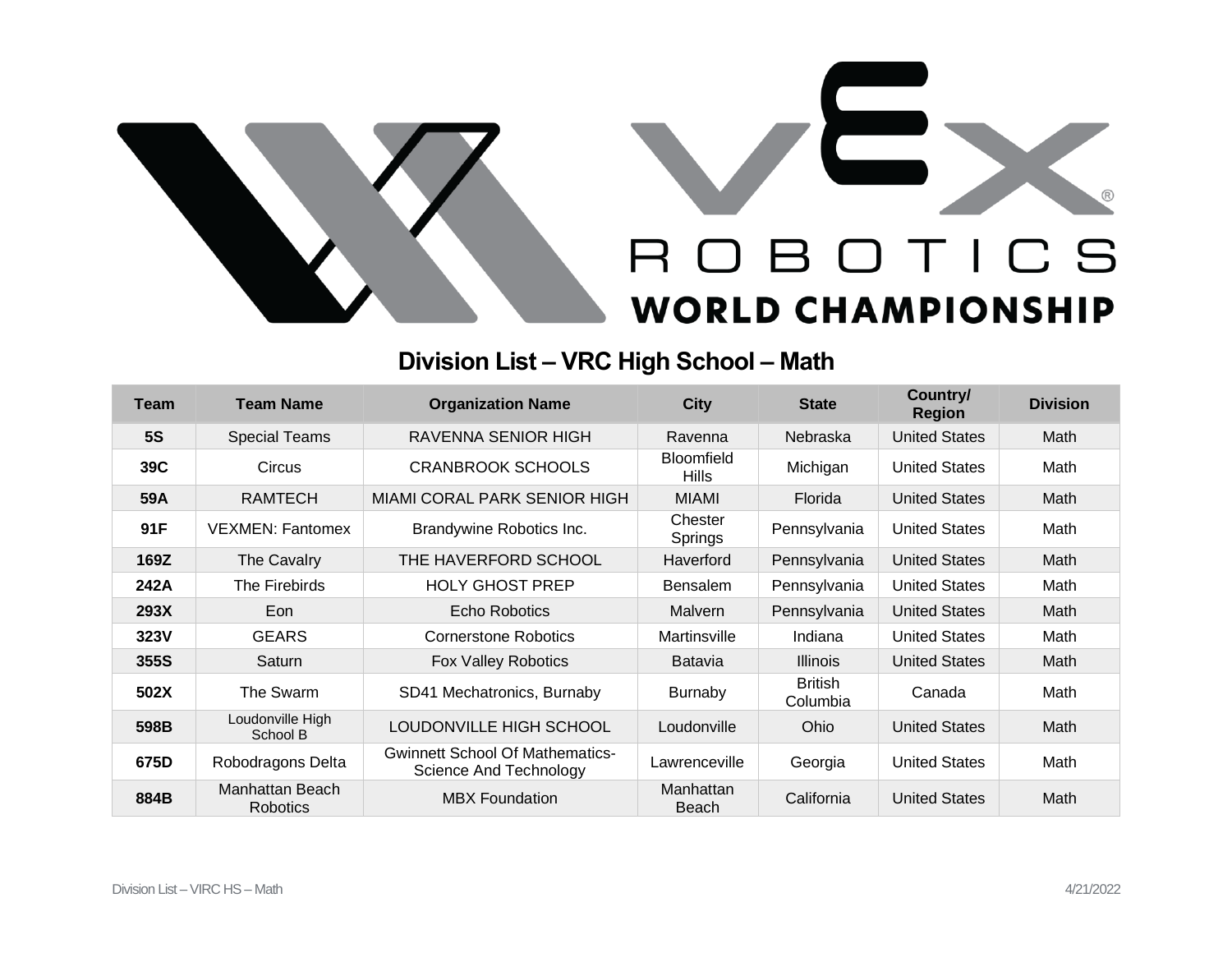



## **Division List – VRC High School – Math**

| <b>Team</b> | <b>Team Name</b>                   | <b>Organization Name</b>                                         | <b>City</b>                       | <b>State</b>               | Country/<br><b>Region</b> | <b>Division</b> |
|-------------|------------------------------------|------------------------------------------------------------------|-----------------------------------|----------------------------|---------------------------|-----------------|
| <b>5S</b>   | <b>Special Teams</b>               | <b>RAVENNA SENIOR HIGH</b>                                       | Ravenna                           | Nebraska                   | <b>United States</b>      | Math            |
| 39C         | Circus                             | <b>CRANBROOK SCHOOLS</b>                                         | <b>Bloomfield</b><br><b>Hills</b> | Michigan                   | <b>United States</b>      | Math            |
| 59A         | <b>RAMTECH</b>                     | MIAMI CORAL PARK SENIOR HIGH                                     | <b>MIAMI</b>                      | Florida                    | <b>United States</b>      | Math            |
| 91F         | <b>VEXMEN: Fantomex</b>            | Brandywine Robotics Inc.                                         | Chester<br>Springs                | Pennsylvania               | <b>United States</b>      | Math            |
| 169Z        | The Cavalry                        | THE HAVERFORD SCHOOL                                             | Haverford                         | Pennsylvania               | <b>United States</b>      | Math            |
| 242A        | The Firebirds                      | <b>HOLY GHOST PREP</b>                                           | <b>Bensalem</b>                   | Pennsylvania               | <b>United States</b>      | Math            |
| 293X        | Eon                                | <b>Echo Robotics</b>                                             | Malvern                           | Pennsylvania               | <b>United States</b>      | Math            |
| 323V        | <b>GEARS</b>                       | <b>Cornerstone Robotics</b>                                      | Martinsville                      | Indiana                    | <b>United States</b>      | Math            |
| 355S        | Saturn                             | Fox Valley Robotics                                              | <b>Batavia</b>                    | <b>Illinois</b>            | <b>United States</b>      | Math            |
| 502X        | The Swarm                          | SD41 Mechatronics, Burnaby                                       | <b>Burnaby</b>                    | <b>British</b><br>Columbia | Canada                    | Math            |
| 598B        | Loudonville High<br>School B       | LOUDONVILLE HIGH SCHOOL                                          | Loudonville                       | <b>Ohio</b>                | <b>United States</b>      | Math            |
| 675D        | Robodragons Delta                  | <b>Gwinnett School Of Mathematics-</b><br>Science And Technology | Lawrenceville                     | Georgia                    | <b>United States</b>      | Math            |
| 884B        | Manhattan Beach<br><b>Robotics</b> | <b>MBX Foundation</b>                                            | Manhattan<br>Beach                | California                 | <b>United States</b>      | Math            |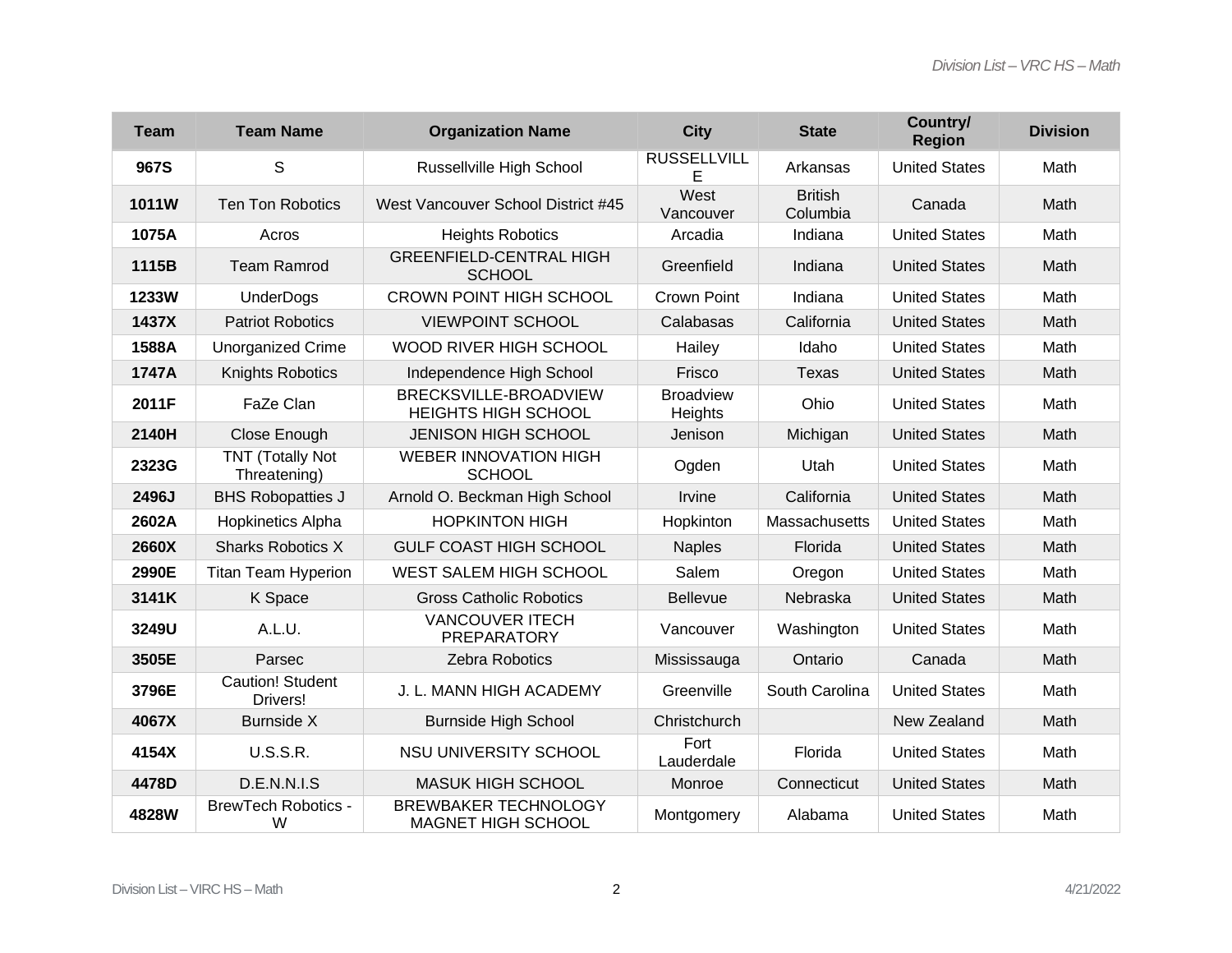| <b>Team</b> | <b>Team Name</b>                        | <b>Organization Name</b>                                 | <b>City</b>                 | <b>State</b>               | Country/<br><b>Region</b> | <b>Division</b> |
|-------------|-----------------------------------------|----------------------------------------------------------|-----------------------------|----------------------------|---------------------------|-----------------|
| 967S        | S                                       | Russellville High School                                 | <b>RUSSELLVILL</b><br>E     | Arkansas                   | <b>United States</b>      | Math            |
| 1011W       | <b>Ten Ton Robotics</b>                 | West Vancouver School District #45                       | West<br>Vancouver           | <b>British</b><br>Columbia | Canada                    | Math            |
| 1075A       | Acros                                   | <b>Heights Robotics</b>                                  | Arcadia                     | Indiana                    | <b>United States</b>      | Math            |
| 1115B       | <b>Team Ramrod</b>                      | <b>GREENFIELD-CENTRAL HIGH</b><br><b>SCHOOL</b>          | Greenfield                  | Indiana                    | <b>United States</b>      | Math            |
| 1233W       | <b>UnderDogs</b>                        | <b>CROWN POINT HIGH SCHOOL</b>                           | Crown Point                 | Indiana                    | <b>United States</b>      | Math            |
| 1437X       | <b>Patriot Robotics</b>                 | <b>VIEWPOINT SCHOOL</b>                                  | Calabasas                   | California                 | <b>United States</b>      | Math            |
| 1588A       | <b>Unorganized Crime</b>                | WOOD RIVER HIGH SCHOOL                                   | Hailey                      | Idaho                      | <b>United States</b>      | Math            |
| 1747A       | Knights Robotics                        | Independence High School                                 | Frisco                      | <b>Texas</b>               | <b>United States</b>      | Math            |
| 2011F       | FaZe Clan                               | BRECKSVILLE-BROADVIEW<br><b>HEIGHTS HIGH SCHOOL</b>      | <b>Broadview</b><br>Heights | Ohio                       | <b>United States</b>      | Math            |
| 2140H       | Close Enough                            | <b>JENISON HIGH SCHOOL</b>                               | Jenison                     | Michigan                   | <b>United States</b>      | Math            |
| 2323G       | <b>TNT (Totally Not</b><br>Threatening) | <b>WEBER INNOVATION HIGH</b><br><b>SCHOOL</b>            | Ogden                       | Utah                       | <b>United States</b>      | Math            |
| 2496J       | <b>BHS Robopatties J</b>                | Arnold O. Beckman High School                            | Irvine                      | California                 | <b>United States</b>      | Math            |
| 2602A       | Hopkinetics Alpha                       | <b>HOPKINTON HIGH</b>                                    | Hopkinton                   | Massachusetts              | <b>United States</b>      | Math            |
| 2660X       | <b>Sharks Robotics X</b>                | <b>GULF COAST HIGH SCHOOL</b>                            | <b>Naples</b>               | Florida                    | <b>United States</b>      | Math            |
| 2990E       | <b>Titan Team Hyperion</b>              | <b>WEST SALEM HIGH SCHOOL</b>                            | Salem                       | Oregon                     | <b>United States</b>      | Math            |
| 3141K       | K Space                                 | <b>Gross Catholic Robotics</b>                           | <b>Bellevue</b>             | Nebraska                   | <b>United States</b>      | Math            |
| 3249U       | A.L.U.                                  | <b>VANCOUVER ITECH</b><br><b>PREPARATORY</b>             | Vancouver                   | Washington                 | <b>United States</b>      | Math            |
| 3505E       | Parsec                                  | Zebra Robotics                                           | Mississauga                 | Ontario                    | Canada                    | Math            |
| 3796E       | <b>Caution! Student</b><br>Drivers!     | J. L. MANN HIGH ACADEMY                                  | Greenville                  | South Carolina             | <b>United States</b>      | Math            |
| 4067X       | <b>Burnside X</b>                       | <b>Burnside High School</b>                              | Christchurch                |                            | New Zealand               | Math            |
| 4154X       | <b>U.S.S.R.</b>                         | NSU UNIVERSITY SCHOOL                                    | Fort<br>Lauderdale          | Florida                    | <b>United States</b>      | Math            |
| 4478D       | D.E.N.N.I.S                             | <b>MASUK HIGH SCHOOL</b>                                 | Monroe                      | Connecticut                | <b>United States</b>      | Math            |
| 4828W       | <b>BrewTech Robotics -</b><br>W         | <b>BREWBAKER TECHNOLOGY</b><br><b>MAGNET HIGH SCHOOL</b> | Montgomery                  | Alabama                    | <b>United States</b>      | Math            |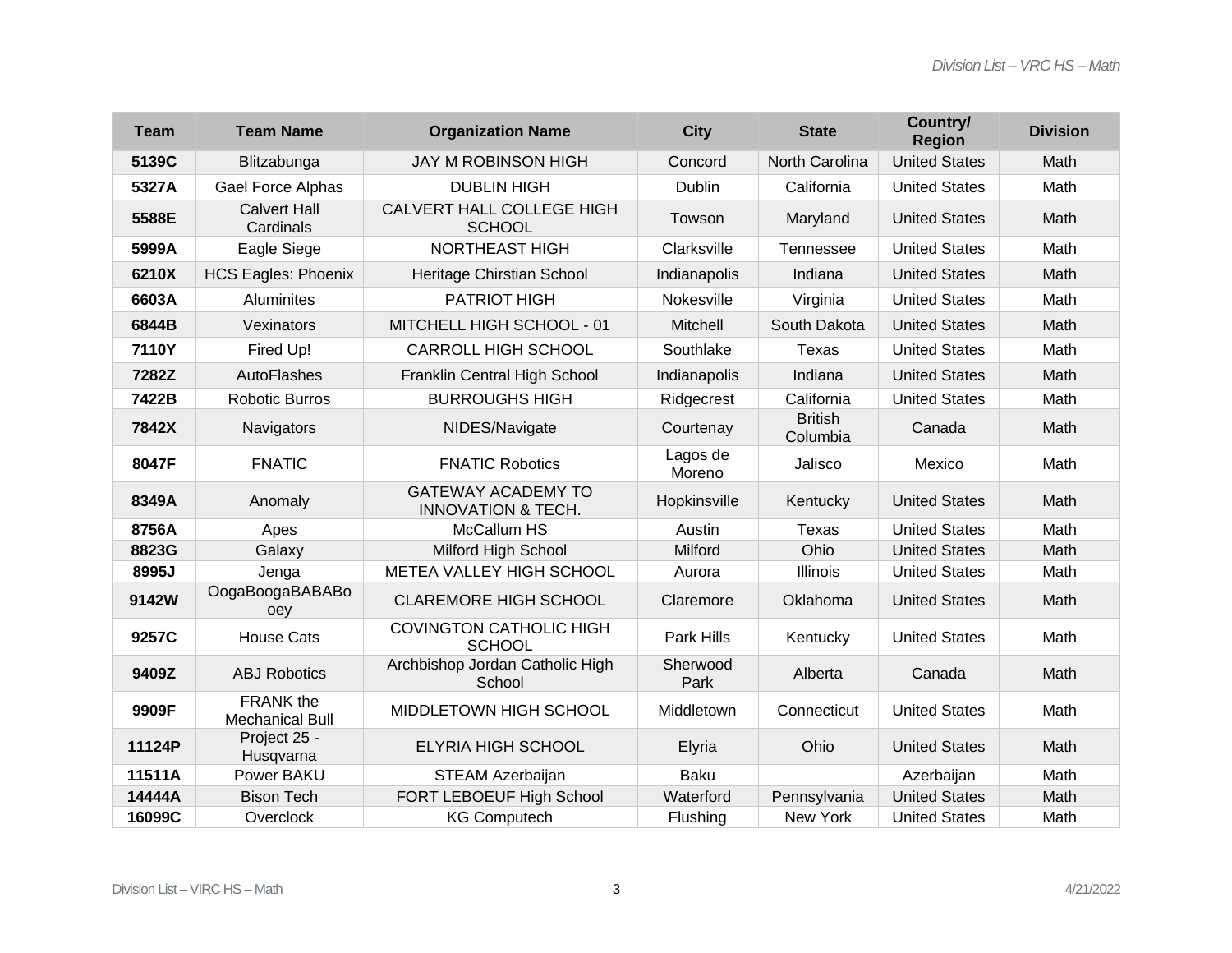| <b>Team</b> | <b>Team Name</b>                           | <b>Organization Name</b>                                   | <b>City</b>        | <b>State</b>               | Country/<br><b>Region</b> | <b>Division</b> |
|-------------|--------------------------------------------|------------------------------------------------------------|--------------------|----------------------------|---------------------------|-----------------|
| 5139C       | Blitzabunga                                | <b>JAY M ROBINSON HIGH</b>                                 | Concord            | North Carolina             | <b>United States</b>      | Math            |
| 5327A       | Gael Force Alphas                          | <b>DUBLIN HIGH</b>                                         | <b>Dublin</b>      | California                 | <b>United States</b>      | Math            |
| 5588E       | <b>Calvert Hall</b><br>Cardinals           | CALVERT HALL COLLEGE HIGH<br><b>SCHOOL</b>                 | Towson             | Maryland                   | <b>United States</b>      | Math            |
| 5999A       | Eagle Siege                                | <b>NORTHEAST HIGH</b>                                      | Clarksville        | Tennessee                  | <b>United States</b>      | Math            |
| 6210X       | <b>HCS Eagles: Phoenix</b>                 | Heritage Chirstian School                                  | Indianapolis       | Indiana                    | <b>United States</b>      | Math            |
| 6603A       | Aluminites                                 | <b>PATRIOT HIGH</b>                                        | Nokesville         | Virginia                   | <b>United States</b>      | Math            |
| 6844B       | Vexinators                                 | MITCHELL HIGH SCHOOL - 01                                  | Mitchell           | South Dakota               | <b>United States</b>      | Math            |
| 7110Y       | Fired Up!                                  | <b>CARROLL HIGH SCHOOL</b>                                 | Southlake          | Texas                      | <b>United States</b>      | Math            |
| 7282Z       | AutoFlashes                                | Franklin Central High School                               | Indianapolis       | Indiana                    | <b>United States</b>      | Math            |
| 7422B       | <b>Robotic Burros</b>                      | <b>BURROUGHS HIGH</b>                                      | Ridgecrest         | California                 | <b>United States</b>      | Math            |
| 7842X       | Navigators                                 | NIDES/Navigate                                             | Courtenay          | <b>British</b><br>Columbia | Canada                    | Math            |
| 8047F       | <b>FNATIC</b>                              | <b>FNATIC Robotics</b>                                     | Lagos de<br>Moreno | Jalisco                    | Mexico                    | Math            |
| 8349A       | Anomaly                                    | <b>GATEWAY ACADEMY TO</b><br><b>INNOVATION &amp; TECH.</b> | Hopkinsville       | Kentucky                   | <b>United States</b>      | Math            |
| 8756A       | Apes                                       | McCallum HS                                                | Austin             | Texas                      | <b>United States</b>      | Math            |
| 8823G       | Galaxy                                     | Milford High School                                        | Milford            | Ohio                       | <b>United States</b>      | Math            |
| 8995J       | Jenga                                      | METEA VALLEY HIGH SCHOOL                                   | Aurora             | Illinois                   | <b>United States</b>      | Math            |
| 9142W       | OogaBoogaBABABo<br>oey                     | <b>CLAREMORE HIGH SCHOOL</b>                               | Claremore          | Oklahoma                   | <b>United States</b>      | Math            |
| 9257C       | <b>House Cats</b>                          | <b>COVINGTON CATHOLIC HIGH</b><br><b>SCHOOL</b>            | Park Hills         | Kentucky                   | <b>United States</b>      | Math            |
| 9409Z       | <b>ABJ Robotics</b>                        | Archbishop Jordan Catholic High<br>School                  | Sherwood<br>Park   | Alberta                    | Canada                    | Math            |
| 9909F       | <b>FRANK</b> the<br><b>Mechanical Bull</b> | MIDDLETOWN HIGH SCHOOL                                     | Middletown         | Connecticut                | <b>United States</b>      | Math            |
| 11124P      | Project 25 -<br>Husqvarna                  | <b>ELYRIA HIGH SCHOOL</b>                                  | Elyria             | Ohio                       | <b>United States</b>      | Math            |
| 11511A      | Power BAKU                                 | <b>STEAM Azerbaijan</b>                                    | <b>Baku</b>        |                            | Azerbaijan                | Math            |
| 14444A      | <b>Bison Tech</b>                          | FORT LEBOEUF High School                                   | Waterford          | Pennsylvania               | <b>United States</b>      | Math            |
| 16099C      | Overclock                                  | <b>KG Computech</b>                                        | Flushing           | New York                   | <b>United States</b>      | Math            |